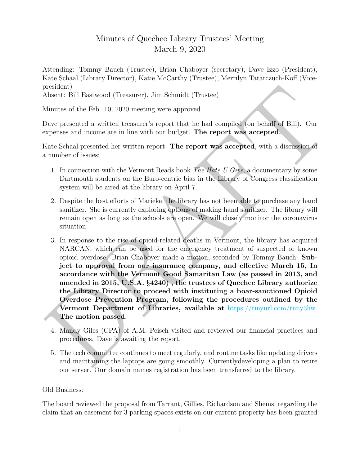## Minutes of Quechee Library Trustees' Meeting March 9, 2020

Attending: Tommy Bauch (Trustee), Brian Chaboyer (secretary), Dave Izzo (President), Kate Schaal (Library Director), Katie McCarthy (Trustee), Merrilyn Tatarczuch-Koff (Vicepresident)

Absent: Bill Eastwood (Treasurer), Jim Schmidt (Trustee)

Minutes of the Feb. 10, 2020 meeting were approved.

Dave presented a written treasurer's report that he had compiled (on behalf of Bill). Our expenses and income are in line with our budget. The report was accepted.

Kate Schaal presented her written report. The report was accepted, with a discussion of a number of issues:

- 1. In connection with the Vermont Reads book The Hate U Give, a documentary by some Dartmouth students on the Euro-centric bias in the Library of Congress classification system will be aired at the library on April 7.
- 2. Despite the best efforts of Marieke, the library has not been able to purchase any hand sanitizer. She is currently exploring options of making hand sanitizer. The library will remain open as long as the schools are open. We will closely monitor the coronavirus situation.
- president)<br>
Nisont: Bill Eastwood (Trossurer), Jim Schmidt (Trustoc)<br>
Minutes of the Feb. 10, 2020 meeting were approved.<br>
Minutes of the Feb. 10, 2020 meeting were approved.<br>
Nave presented a written treasurer's report t 3. In response to the rise of opioid-related deaths in Vermont, the library has acquired NARCAN, which can be used for the emergency treatment of suspected or known opioid overdose. Brian Chaboyer made a motion, seconded by Tommy Bauch: Subject to approval from our insurance company, and effective March 15, In accordance with the Vermont Good Samaritan Law (as passed in 2013, and amended in 2015, U.S.A. §4240) , the trustees of Quechee Library authorize the Library Director to proceed with instituting a boar-sanctioned Opioid Overdose Prevention Program, following the procedures outlined by the Vermont Department of Libraries, available at https://tinyurl.com/rnny3hw. The motion passed.
	- 4. Mandy Giles (CPA) of A.M. Peisch visited and reviewed our financial practices and procedures. Dave is awaiting the report.
	- 5. The tech committee continues to meet regularly, and routine tasks like updating drivers and maintaining the laptops are going smoothly. Currentlydeveloping a plan to retire our server. Our domain names registration has been transferred to the library.

## Old Business:

The board reviewed the proposal from Tarrant, Gillies, Richardson and Shems, regarding the claim that an easement for 3 parking spaces exists on our current property has been granted